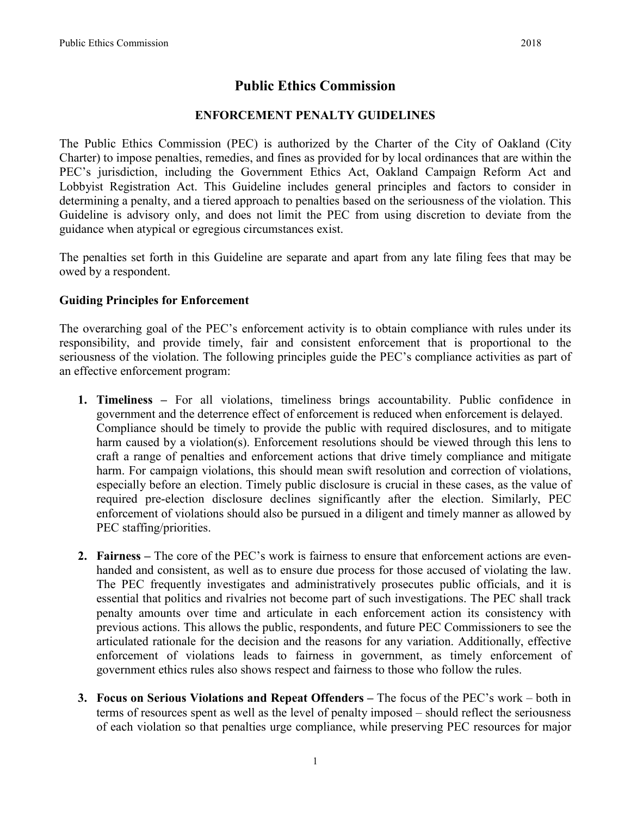# **Public Ethics Commission**

### **ENFORCEMENT PENALTY GUIDELINES**

The Public Ethics Commission (PEC) is authorized by the Charter of the City of Oakland (City Charter) to impose penalties, remedies, and fines as provided for by local ordinances that are within the PEC's jurisdiction, including the Government Ethics Act, Oakland Campaign Reform Act and Lobbyist Registration Act. This Guideline includes general principles and factors to consider in determining a penalty, and a tiered approach to penalties based on the seriousness of the violation. This Guideline is advisory only, and does not limit the PEC from using discretion to deviate from the guidance when atypical or egregious circumstances exist.

The penalties set forth in this Guideline are separate and apart from any late filing fees that may be owed by a respondent.

### **Guiding Principles for Enforcement**

The overarching goal of the PEC's enforcement activity is to obtain compliance with rules under its responsibility, and provide timely, fair and consistent enforcement that is proportional to the seriousness of the violation. The following principles guide the PEC's compliance activities as part of an effective enforcement program:

- **1. Timeliness –** For all violations, timeliness brings accountability. Public confidence in government and the deterrence effect of enforcement is reduced when enforcement is delayed. Compliance should be timely to provide the public with required disclosures, and to mitigate harm caused by a violation(s). Enforcement resolutions should be viewed through this lens to craft a range of penalties and enforcement actions that drive timely compliance and mitigate harm. For campaign violations, this should mean swift resolution and correction of violations, especially before an election. Timely public disclosure is crucial in these cases, as the value of required pre-election disclosure declines significantly after the election. Similarly, PEC enforcement of violations should also be pursued in a diligent and timely manner as allowed by PEC staffing/priorities.
- **2. Fairness –** The core of the PEC's work is fairness to ensure that enforcement actions are evenhanded and consistent, as well as to ensure due process for those accused of violating the law. The PEC frequently investigates and administratively prosecutes public officials, and it is essential that politics and rivalries not become part of such investigations. The PEC shall track penalty amounts over time and articulate in each enforcement action its consistency with previous actions. This allows the public, respondents, and future PEC Commissioners to see the articulated rationale for the decision and the reasons for any variation. Additionally, effective enforcement of violations leads to fairness in government, as timely enforcement of government ethics rules also shows respect and fairness to those who follow the rules.
- **3. Focus on Serious Violations and Repeat Offenders –** The focus of the PEC's work both in terms of resources spent as well as the level of penalty imposed – should reflect the seriousness of each violation so that penalties urge compliance, while preserving PEC resources for major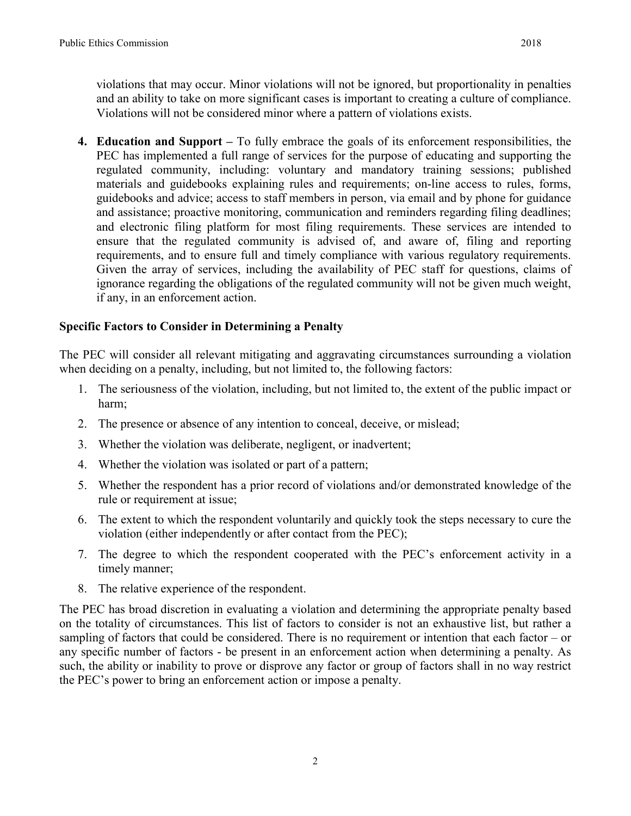violations that may occur. Minor violations will not be ignored, but proportionality in penalties and an ability to take on more significant cases is important to creating a culture of compliance. Violations will not be considered minor where a pattern of violations exists.

**4. Education and Support –** To fully embrace the goals of its enforcement responsibilities, the PEC has implemented a full range of services for the purpose of educating and supporting the regulated community, including: voluntary and mandatory training sessions; published materials and guidebooks explaining rules and requirements; on-line access to rules, forms, guidebooks and advice; access to staff members in person, via email and by phone for guidance and assistance; proactive monitoring, communication and reminders regarding filing deadlines; and electronic filing platform for most filing requirements. These services are intended to ensure that the regulated community is advised of, and aware of, filing and reporting requirements, and to ensure full and timely compliance with various regulatory requirements. Given the array of services, including the availability of PEC staff for questions, claims of ignorance regarding the obligations of the regulated community will not be given much weight, if any, in an enforcement action.

### **Specific Factors to Consider in Determining a Penalty**

The PEC will consider all relevant mitigating and aggravating circumstances surrounding a violation when deciding on a penalty, including, but not limited to, the following factors:

- 1. The seriousness of the violation, including, but not limited to, the extent of the public impact or harm;
- 2. The presence or absence of any intention to conceal, deceive, or mislead;
- 3. Whether the violation was deliberate, negligent, or inadvertent;
- 4. Whether the violation was isolated or part of a pattern;
- 5. Whether the respondent has a prior record of violations and/or demonstrated knowledge of the rule or requirement at issue;
- 6. The extent to which the respondent voluntarily and quickly took the steps necessary to cure the violation (either independently or after contact from the PEC);
- 7. The degree to which the respondent cooperated with the PEC's enforcement activity in a timely manner;
- 8. The relative experience of the respondent.

The PEC has broad discretion in evaluating a violation and determining the appropriate penalty based on the totality of circumstances. This list of factors to consider is not an exhaustive list, but rather a sampling of factors that could be considered. There is no requirement or intention that each factor – or any specific number of factors - be present in an enforcement action when determining a penalty. As such, the ability or inability to prove or disprove any factor or group of factors shall in no way restrict the PEC's power to bring an enforcement action or impose a penalty.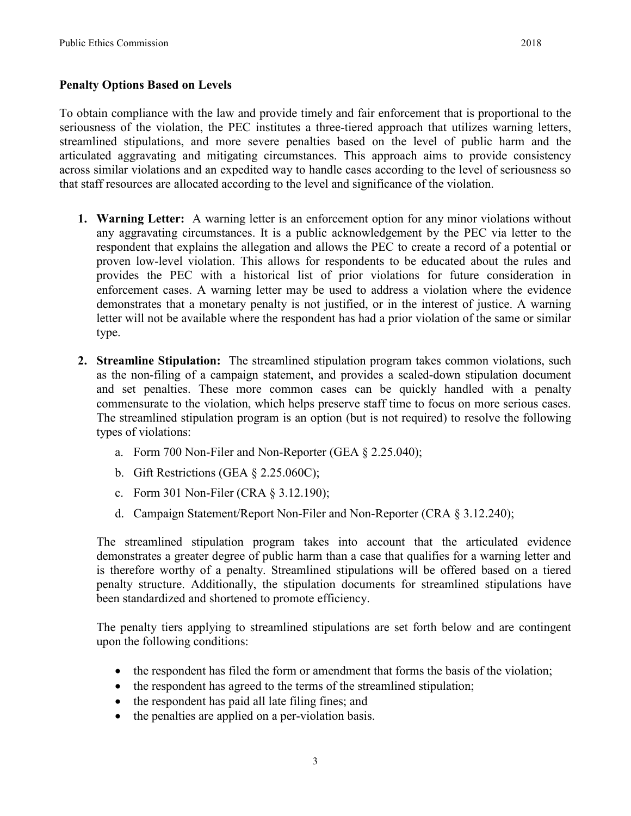### **Penalty Options Based on Levels**

To obtain compliance with the law and provide timely and fair enforcement that is proportional to the seriousness of the violation, the PEC institutes a three-tiered approach that utilizes warning letters, streamlined stipulations, and more severe penalties based on the level of public harm and the articulated aggravating and mitigating circumstances. This approach aims to provide consistency across similar violations and an expedited way to handle cases according to the level of seriousness so that staff resources are allocated according to the level and significance of the violation.

- **1. Warning Letter:** A warning letter is an enforcement option for any minor violations without any aggravating circumstances. It is a public acknowledgement by the PEC via letter to the respondent that explains the allegation and allows the PEC to create a record of a potential or proven low-level violation. This allows for respondents to be educated about the rules and provides the PEC with a historical list of prior violations for future consideration in enforcement cases. A warning letter may be used to address a violation where the evidence demonstrates that a monetary penalty is not justified, or in the interest of justice. A warning letter will not be available where the respondent has had a prior violation of the same or similar type.
- **2. Streamline Stipulation:** The streamlined stipulation program takes common violations, such as the non-filing of a campaign statement, and provides a scaled-down stipulation document and set penalties. These more common cases can be quickly handled with a penalty commensurate to the violation, which helps preserve staff time to focus on more serious cases. The streamlined stipulation program is an option (but is not required) to resolve the following types of violations:
	- a. Form 700 Non-Filer and Non-Reporter (GEA § 2.25.040);
	- b. Gift Restrictions (GEA § 2.25.060C);
	- c. Form 301 Non-Filer (CRA § 3.12.190);
	- d. Campaign Statement/Report Non-Filer and Non-Reporter (CRA § 3.12.240);

The streamlined stipulation program takes into account that the articulated evidence demonstrates a greater degree of public harm than a case that qualifies for a warning letter and is therefore worthy of a penalty. Streamlined stipulations will be offered based on a tiered penalty structure. Additionally, the stipulation documents for streamlined stipulations have been standardized and shortened to promote efficiency.

The penalty tiers applying to streamlined stipulations are set forth below and are contingent upon the following conditions:

- the respondent has filed the form or amendment that forms the basis of the violation;
- the respondent has agreed to the terms of the streamlined stipulation;
- the respondent has paid all late filing fines; and
- the penalties are applied on a per-violation basis.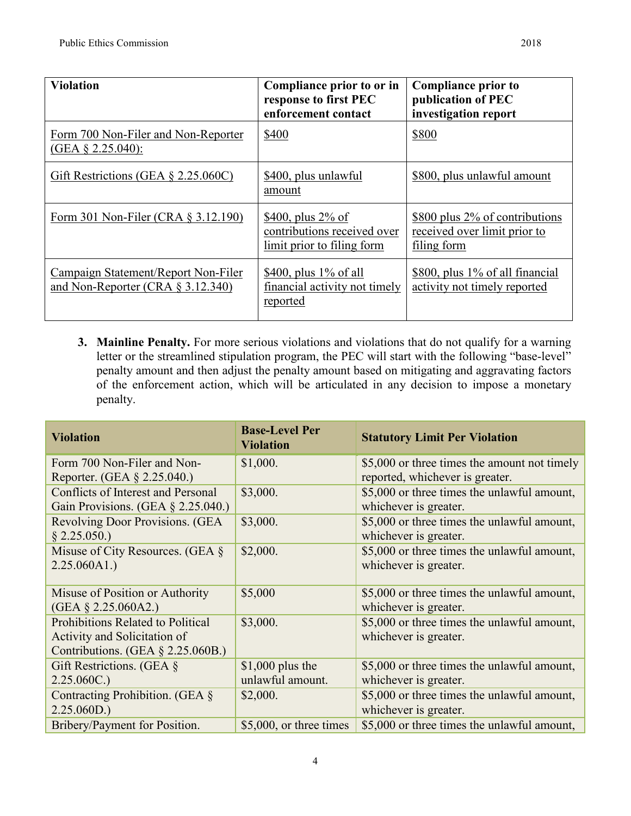| <b>Violation</b>                                                            | Compliance prior to or in<br>response to first PEC<br>enforcement contact         | <b>Compliance prior to</b><br>publication of PEC<br>investigation report      |
|-----------------------------------------------------------------------------|-----------------------------------------------------------------------------------|-------------------------------------------------------------------------------|
| Form 700 Non-Filer and Non-Reporter<br>$(GEA \S 2.25.040)$ :                | \$400                                                                             | \$800                                                                         |
| Gift Restrictions (GEA $\S$ 2.25.060C)                                      | \$400, plus unlawful<br>amount                                                    | \$800, plus unlawful amount                                                   |
| Form 301 Non-Filer (CRA $\S 3.12.190$ )                                     | \$400, plus $2\%$ of<br>contributions received over<br>limit prior to filing form | \$800 plus 2% of contributions<br>received over limit prior to<br>filing form |
| Campaign Statement/Report Non-Filer<br>and Non-Reporter (CRA $\S$ 3.12.340) | $$400$ , plus 1\% of all<br>financial activity not timely<br>reported             | \$800, plus 1% of all financial<br>activity not timely reported               |

**3. Mainline Penalty.** For more serious violations and violations that do not qualify for a warning letter or the streamlined stipulation program, the PEC will start with the following "base-level" penalty amount and then adjust the penalty amount based on mitigating and aggravating factors of the enforcement action, which will be articulated in any decision to impose a monetary penalty.

| <b>Violation</b>                         | <b>Base-Level Per</b><br><b>Violation</b> | <b>Statutory Limit Per Violation</b>         |
|------------------------------------------|-------------------------------------------|----------------------------------------------|
| Form 700 Non-Filer and Non-              | \$1,000.                                  | \$5,000 or three times the amount not timely |
| Reporter. (GEA § 2.25.040.)              |                                           | reported, whichever is greater.              |
| Conflicts of Interest and Personal       | \$3,000.                                  | \$5,000 or three times the unlawful amount,  |
| Gain Provisions. (GEA $\S$ 2.25.040.)    |                                           | whichever is greater.                        |
| Revolving Door Provisions. (GEA          | \$3,000.                                  | \$5,000 or three times the unlawful amount,  |
| § 2.25.050.                              |                                           | whichever is greater.                        |
| Misuse of City Resources. (GEA $\S$      | \$2,000.                                  | \$5,000 or three times the unlawful amount,  |
| 2.25.060A1.                              |                                           | whichever is greater.                        |
| Misuse of Position or Authority          | \$5,000                                   | \$5,000 or three times the unlawful amount,  |
| $(GEA \S 2.25.060A2.)$                   |                                           | whichever is greater.                        |
| <b>Prohibitions Related to Political</b> | \$3,000.                                  | \$5,000 or three times the unlawful amount,  |
| Activity and Solicitation of             |                                           | whichever is greater.                        |
| Contributions. (GEA $\S$ 2.25.060B.)     |                                           |                                              |
| Gift Restrictions. (GEA $\S$             | $$1,000$ plus the                         | \$5,000 or three times the unlawful amount,  |
| 2.25.060C.                               | unlawful amount.                          | whichever is greater.                        |
| Contracting Prohibition. (GEA $\S$       | \$2,000.                                  | \$5,000 or three times the unlawful amount,  |
| 2.25.060D.                               |                                           | whichever is greater.                        |
| Bribery/Payment for Position.            | $$5,000$ , or three times                 | \$5,000 or three times the unlawful amount,  |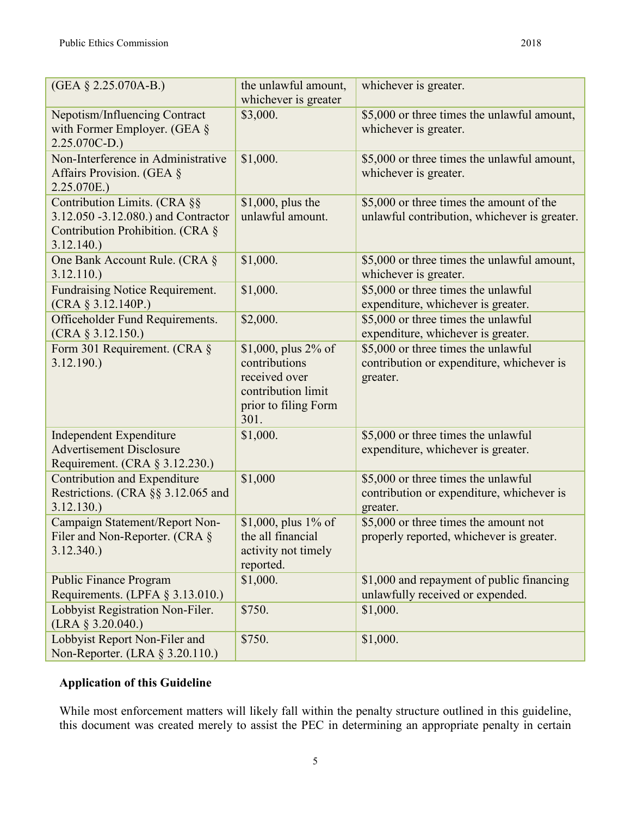| (GEA § 2.25.070A-B.)                                                                                                     | the unlawful amount,<br>whichever is greater                                                                   | whichever is greater.                                                                        |
|--------------------------------------------------------------------------------------------------------------------------|----------------------------------------------------------------------------------------------------------------|----------------------------------------------------------------------------------------------|
| Nepotism/Influencing Contract<br>with Former Employer. (GEA $\S$<br>$2.25.070C-D.$                                       | \$3,000.                                                                                                       | \$5,000 or three times the unlawful amount,<br>whichever is greater.                         |
| Non-Interference in Administrative<br>Affairs Provision. (GEA §<br>2.25.070E.)                                           | \$1,000.                                                                                                       | \$5,000 or three times the unlawful amount,<br>whichever is greater.                         |
| Contribution Limits. (CRA §§<br>3.12.050 -3.12.080.) and Contractor<br>Contribution Prohibition. (CRA §<br>$3.12.140.$ ) | \$1,000, plus the<br>unlawful amount.                                                                          | \$5,000 or three times the amount of the<br>unlawful contribution, whichever is greater.     |
| One Bank Account Rule. (CRA §<br>3.12.110.                                                                               | \$1,000.                                                                                                       | \$5,000 or three times the unlawful amount,<br>whichever is greater.                         |
| <b>Fundraising Notice Requirement.</b><br>(CRA § 3.12.140P.)                                                             | \$1,000.                                                                                                       | \$5,000 or three times the unlawful<br>expenditure, whichever is greater.                    |
| Officeholder Fund Requirements.<br>$(CRA \S 3.12.150.)$                                                                  | \$2,000.                                                                                                       | \$5,000 or three times the unlawful<br>expenditure, whichever is greater.                    |
| Form 301 Requirement. (CRA §<br>3.12.190.                                                                                | \$1,000, plus $2\%$ of<br>contributions<br>received over<br>contribution limit<br>prior to filing Form<br>301. | \$5,000 or three times the unlawful<br>contribution or expenditure, whichever is<br>greater. |
| <b>Independent Expenditure</b><br><b>Advertisement Disclosure</b><br>Requirement. (CRA § 3.12.230.)                      | \$1,000.                                                                                                       | \$5,000 or three times the unlawful<br>expenditure, whichever is greater.                    |
| Contribution and Expenditure<br>Restrictions. (CRA §§ 3.12.065 and<br>3.12.130.                                          | \$1,000                                                                                                        | \$5,000 or three times the unlawful<br>contribution or expenditure, whichever is<br>greater. |
| Campaign Statement/Report Non-<br>Filer and Non-Reporter. (CRA §<br>3.12.340.                                            | \$1,000, plus 1% of<br>the all financial<br>activity not timely<br>reported.                                   | \$5,000 or three times the amount not<br>properly reported, whichever is greater.            |
| <b>Public Finance Program</b><br>Requirements. (LPFA $\S$ 3.13.010.)                                                     | \$1,000.                                                                                                       | \$1,000 and repayment of public financing<br>unlawfully received or expended.                |
| Lobbyist Registration Non-Filer.<br>$(LRA \S 3.20.040.)$                                                                 | \$750.                                                                                                         | \$1,000.                                                                                     |
| Lobbyist Report Non-Filer and<br>Non-Reporter. (LRA § 3.20.110.)                                                         | \$750.                                                                                                         | \$1,000.                                                                                     |

## **Application of this Guideline**

While most enforcement matters will likely fall within the penalty structure outlined in this guideline, this document was created merely to assist the PEC in determining an appropriate penalty in certain